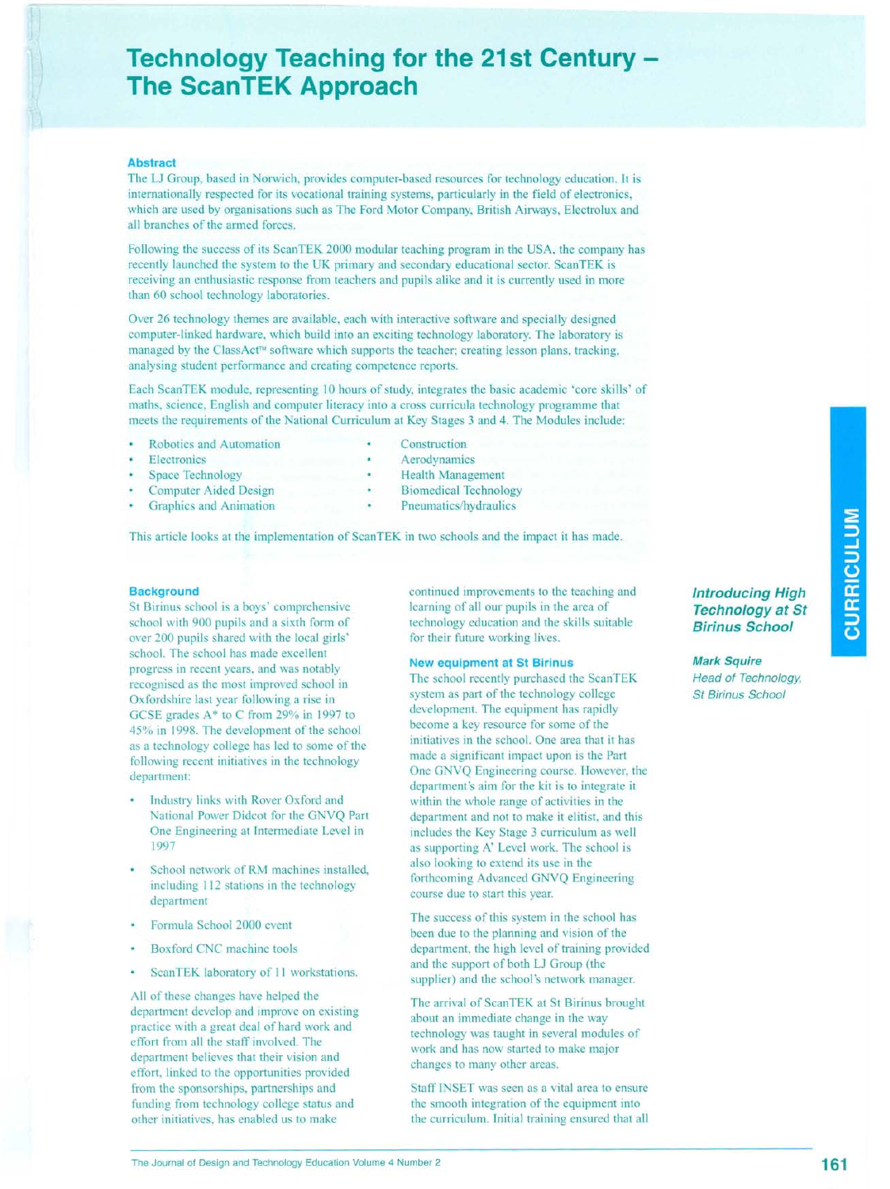# **Technology Teaching for the 21st Century The ScanTEK Approach**

## **Abstract**

The LJ Group, based in Norwich, provides computer-based resources for technology education. It is internationally respected for its vocational training systems, particularly in the field of electronics, which are used by organisations such as The Ford Motor Company, British Airways, Electrolux and all branches of the armed forces.

Following the success of its ScanTEK 2000 modular teaching program in the USA, the company has recently launched the system to the UK primary and secondary educational sector. ScanTEK is receiving an enthusiastic response from teachers and pupils alike and it is currently used in more than 60 school technology laboratories.

Over 26 technology themes are available, each with interactive software and specially designed computer-linked hardware, which build into an exciting technology laboratory. The laboratory is managed by the ClassAct™ software which supports the teacher; creating lesson plans, tracking, analysing student performance and creating competence reports.

Each ScanTEK module, representing 10 hours of study, integrates the basic academic 'core skills' of maths, science, English and computer literacy into a cross curricula technology programme that meets the requirements of the National Curriculum at Key Stages 3 and 4. The Modules include:

- Robotics and Automation
- **Electronics**
- Space Technology
- Computer Aided Design
- Graphics and Animation
- Construction
- Aerodynamics
- Health Management
- Biomedical Technology
- Pneumatics/hydraulics

This article looks at the implementation of ScanTEK in two schools and the impact it has made.

## **Background**

St Birinus school is a boys' comprehensive school with 900 pupils and a sixth form of over 200 pupils shared with the local girls' school. The school has made excellent progress in recent years, and was notably recognised as the most improved school in Oxfords hire last year following a rise in GCSE grades A\* to C from 29% in 1997 to 45% in 1998. The development of the school as a technology college has led to some of the following recent initiatives in the technology department:

- Industry links with Rover Oxford and National Power Didcot for the GNVQ Part One Engineering at Intermediate Level in 1997
- School network of RM machines installed, including 112 stations in the technology department
- Formula School 2000 event
- Boxford CNC machine tools
- ScanTEK laboratory of II workstations.

All of these changes have helped the department develop and improve on existing practice with a great deal of hard work and effort from all the staff involved. The department believes that their vision and effort, linked to the opportunities provided from the sponsorships, partnerships and funding from technology college status and other initiatives, has enabled us to make

continued improvements to the teaching and learning of all our pupils in the area of technology education and the skills suitable for their future working lives.

#### **New equipment at St Birinus**

The school recently purchased the ScanTEK system as part of the technology college development. The equipment has rapidly become a key resource for some of the initiatives in the school. One area that it has made a significant impact upon is the Part One GNVQ Engineering course. However, the department's aim for the kit is to integrate it within the whole range of activities in the department and not to make it elitist, and this includes the Key Stage 3 curriculum as well as supporting A' Level work. The school is also looking to extend its use in the forthcoming Advanced GNVQ Engineering course due to start this year.

The success of this system in the school has been due to the planning and vision of the department, the high level of training provided and the support of both LJ Group (the supplier) and the school's network manager.

The arrival of ScanTEK at St Birinus brought about an immediate change in the way technology was taught in several modules of work and has now started to make major changes to many other areas.

Staff INSET was seen as a vital area to ensure the smooth integration of the equipment into the curriculum. Initial training ensured that all

*Introducing High Technology at St Birinus School*

*Mark Squire Head of Technology, St Birinus School*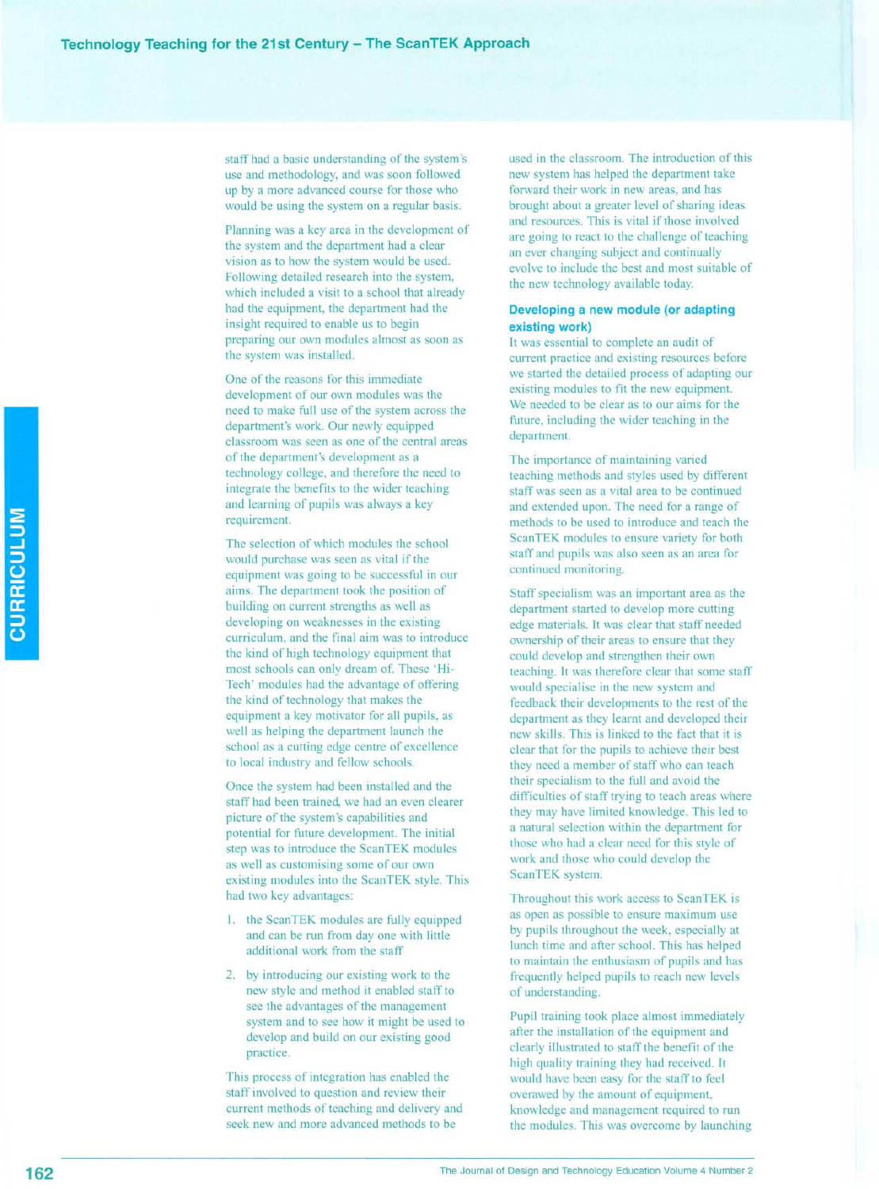staff had a basic understanding of the system's use and methodology, and was soon followed up by a more advanced course for those who would be using the system on a regular basis.

Planning was a key area in the development of the system and the department had a clear vision as to how the system would be used. Following detailed research into the system, which included a visit to a school that already had the equipment, the department had the insight required to enable us to begin preparing our own modules almost as soon as the system was installed.

One of the reasons for this immediate development of our own modules was the need to make full use of the system across the department's work. Our newly equipped classroom was seen as one of the central areas of the department's development as a technology college, and therefore the need to integrate the benefits to the wider teaching and learning of pupils was always a key requirement.

The selection of which modules the school would purchase was seen as vital if the equipment was going to be successful in our aims. The department took the position of building on current strengths as well as developing on weaknesses in the existing curriculum, and the final aim was to introduce the kind of high technology equipment that most schools can only dream of. These 'Hi-Tech' modules had the advantage of offering the kind of technology that makes the equipment a key motivator for all pupils, as well as helping the department launch the school as a cutting edge centre of excellence to local industry and fellow schools.

Once the system had been installed and the staff had been trained, we had an even clearer picture of the system's capabilities and potential for future development. The initial step was to introduce the ScanTEK modules as well as customising some of our own existing modules into the ScanTEK style. This had two key advantages:

- 1. the ScanTEK modules are fully equipped and can be run from day one with little additional work from the staff
- 2. by introducing our existing work to the new style and method it enabled staff to see the advantages of the management system and to see how it might be used to develop and build on our existing good practice.

This process of integration has enabled the staff involved to question and review their current methods of teaching and delivery and seek new and more advanced methods to be

used in the classroom. The introduction of this new system has helped the department take forward their work in new areas, and has brought about a greater level of sharing ideas and resources. This is vital if those involved are going to react to the challenge of teaching an ever changing subject and continually evolve to include the best and most suitable of the new technology available today.

# **Developing a new module (or adapting existing work)**

It was essential to complete an audit of current practice and existing resources before we started the detailed process of adapting our existing modules to fit the new equipment. We needed to be clear as to our aims for the future, including the wider teaching in the department.

The importance of maintaining varied teaching methods and styles used by different staff was seen as a vital area to be continued and extended upon. The need for a range of methods to be used to introduce and teach the ScanTEK modules to ensure variety for both staff and pupils was also seen as an area for continued monitoring.

Staff specialism was an important area as the department started to develop more cutting edge materials. It was clear that staff needed ownership of their areas to ensure that they could develop and strengthen their own teaching. It was therefore clear that some staff would specialise in the new system and feedback their developments to the rest of the department as they learnt and developed their new skills. This is linked to the fact that it is clear that for the pupils to achieve their best they need a member of staff who can teach their specialism to the full and avoid the difficulties of staff trying to teach areas where they may have limited knowledge. This led to a natural selection within the department for those who had a clear need for this style of work and those who could develop the ScanTEK system.

Throughout this work access to ScanTEK is as open as possible to ensure maximum use by pupils throughout the week, especially at lunch time and after school. This has helped to maintain the enthusiasm of pupils and has frequently helped pupils to reach new levels of understanding.

Pupil training took place almost immediately after the installation of the equipment and clearly illustrated to staff the benefit of the high quality training they had received. It would have been easy for the staff to feel overawed by the amount of equipment, knowledge and management required to run the modules. This was overcome by launching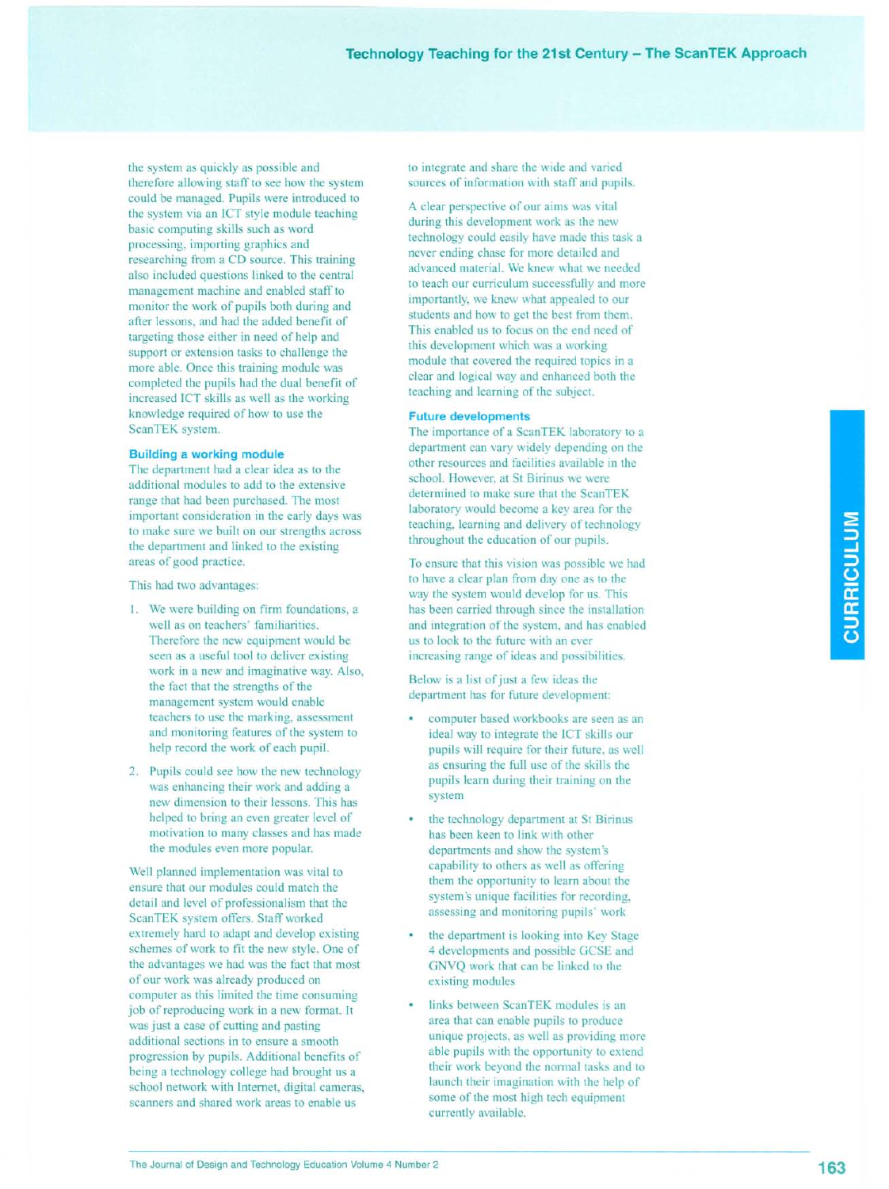the system as quickly as possible and therefore allowing staff to see how the system could be managed. Pupils were introduced to the system via an ICT style module teaching basic computing skills such as word processing, importing graphics and researching from a CD source. This training also included questions linked to the central management machine and enabled staff to monitor the work of pupils both during and after lessons, and had the added benefit of targeting those either in need of help and support or extension tasks to challenge the more able. Once this training module was completed the pupils had the dual benefit of increased ICT skills as well as the working knowledge required of how to use the ScanTEK system.

#### **Building a working module**

The department had a clear idea as to the additional modules to add to the extensive range that had been purchased. The most important consideration in the early days was to make sure we built on our strengths across the department and linked to the existing areas of good practice.

This had two advantages:

- I. We were building on firm foundations, a well as on teachers' familiarities. Therefore the new equipment would be seen as a useful tool to deliver existing work in a new and imaginative way. Also, the fact that the strengths of the management system would enable teachers to use the marking, assessment and monitoring features of the system to help record the work of each pupil.
- 2. Pupils could see how the new technology was enhancing their work and adding a new dimension to their lessons. This has helped to bring an even greater level of motivation to many classes and has made the modules even more popular.

Well planned implementation was vital to ensure that our modules could match the detail and level of professionalism that the Scan TEK system offers. Staff worked extremely hard to adapt and develop existing schemes of work to fit the new style. One of the advantages we had was the fact that most of our work was already produced on computer as this limited the time consuming job of reproducing work in a new format. It was just a case of cutting and pasting additional sections in to ensure a smooth progression by pupils. Additional benefits of being a technology college had brought us a school network with Internet, digital cameras, scanners and shared work areas to enable us

to integrate and share the wide and varied sources of information with staff and pupils.

A clear perspective of our aims was vital during this development work as the new technology could easily have made this task a never ending chase for more detailed and advanced material. We knew what we needed to teach our curriculum successfully and more importantly, we knew what appealed to our students and how to get the best from them. This enabled us to focus on the end need of this development which was a working module that covered the required topics in a clear and logical way and enhanced both the teaching and learning of the subject.

# **Future developments**

The importance of a ScanTEK laboratory to a department can vary widely depending on the other resources and facilities available in the school. However, at St Birinus we were determined to make sure that the ScanTEK laboratory would become a key area for the teaching, learning and delivery of technology throughout the education of our pupils.

To ensure that this vision was possible we had to have a clear plan from day one as to the way the system would develop for us. This has been carried through since the installation and integration of the system, and has enabled us to look to the future with an ever increasing range of ideas and possibilities.

Below is a list of just a few ideas the department has for future development:

- computer based workbooks are seen as an ideal way to integrate the ICT skills our pupils will require for their future, as well as ensuring the full use of the skills the pupils learn during their training on the system
- the technology department at St Birinus has been keen to link with other departments and show the system's capability to others as well as offering them the opportunity to learn about the system's unique facilities for recording, assessing and monitoring pupils' work
- the department is looking into Key Stage 4 developments and possible GCSE and GNVQ work that can be linked to the existing modules
- links between ScanTEK modules is an area that can enable pupils to produce unique projects, as well as providing more able pupils with the opportunity to extend their work beyond the normal tasks and to launch their imagination with the help of some of the most high tech equipment currently available.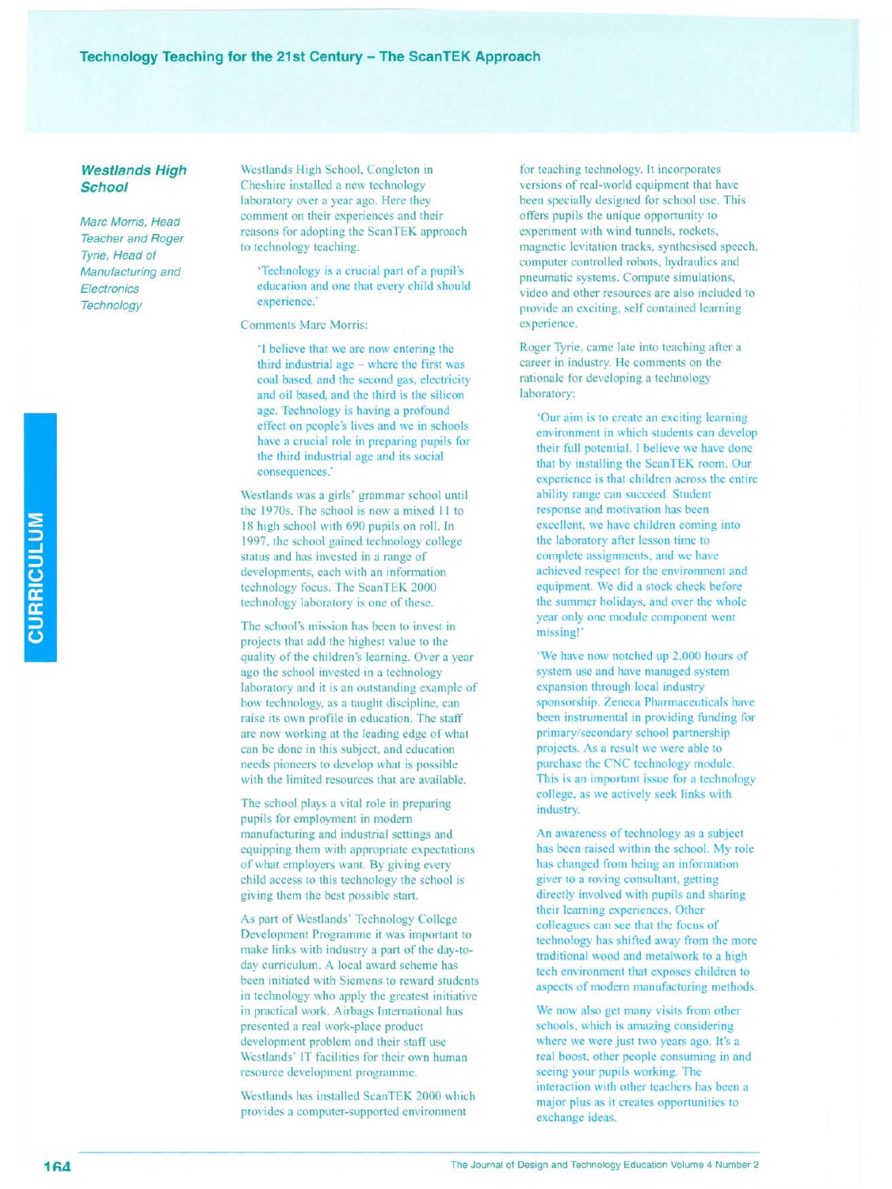# Technology Teaching for the 21st Century - The ScanTEK Approach

# *Westlands High School*

*Marc Morris, Head Teacher and Roger Tyrie, Head of Manufacturing and Electronics Technology*

Westlands High School, Congleton in Cheshire installed a new technology laboratory over a year ago. Here they comment on their experiences and their reasons for adopting the ScanTEK approach to technology teaching.

'Technology is a crucial part of a pupil's education and one that every child should experience.'

**Comments Marc Morris:** 

'I believe that we are now entering the third industrial age - where the first was coal based, and the second gas, electricity and oil based, and the third is the silicon age. Technology is having a profound effect on people's lives and we in schools have a crucial role in preparing pupils for the third industrial age and its social consequences.'

Westlands was a girls' grammar school until the 1970s. The school is now <sup>a</sup> mixed **II** to 18 high school with 690 pupils on roll. In 1997, the school gained technology college status and has invested in a range of developments, each with an information technology focus. The ScanTEK 2000 technology laboratory is one of these.

The school's mission has been to invest in projects that add the highest value to the quality of the children's learning. Over a year ago the school invested in a technology laboratory and it is an outstanding example of how technology, as a taught discipline, can raise its own profile in education. The staff are now working at the leading edge of what can be done in this subject, and education needs pioneers to develop what is possible with the limited resources that are available.

The school plays a vital role in preparing pupils for employment in modern manufacturing and industrial settings and equipping them with appropriate expectations of what employers want. By giving every child access to this technology the school is giving them the best possible start.

As part of Westlands' Technology College Development Programme it was important to make links with industry a part of the day-today curriculum. A local award scheme has been initiated with Siemens to reward students in technology who apply the greatest initiative in practical work. Airbags International has presented a real work-place product development problem and their staff use Westlands' IT facilities for their own human resource development programme.

Westlands has installed ScanTEK 2000 which provides a computer-supported environment

for teaching technology. It incorporates versions of real-world equipment that have been specially designed for school use. This offers pupils the unique opportunity to experiment with wind tunnels, rockets, magnetic levitation tracks, synthesised speech, computer controlled robots, hydraulics and pneumatic systems. Compute simulations, video and other resources are also included to provide an exciting, self contained learning experience.

Roger Tyrie, came late into teaching after a career in industry. He comments on the rationale for developing a technology laboratory:

'Our aim is to create an exciting learning environment in which students can develop their full potential. I believe we have done that by installing the ScanTEK room. Our experience is that children across the entire ability range can succeed. Student response and motivation has been excellent, we have children coming into the laboratory after lesson time to complete assignments, and we have achieved respect for the environment and equipment. We did a stock check before the summer holidays, and over the whole year only one module component went missing!'

'We have now notched up 2,000 hours of system use and have managed system expansion through local industry sponsorship. Zeneca Pharmaceuticals have been instrumental in providing funding for primary/secondary school partnership projects. As a result we were able to purchase the CNC technology module. This is an important issue for a technology college, as we actively seek links with industry.

An awareness of technology as a subject has been raised within the school. My role has changed from being an information giver to a roving consultant, getting directly involved with pupils and sharing their learning experiences. Other colleagues can see that the focus of technology has shifted away from the more traditional wood and metalwork to a high tech environment that exposes children to aspects of modern manufacturing methods.

We now also get many visits from other schools, which is amazing considering where we were just two years ago. It's a real boost, other people consuming in and seeing your pupils working. The interaction with other teachers has been a major plus as it creates opportunities to exchange ideas.